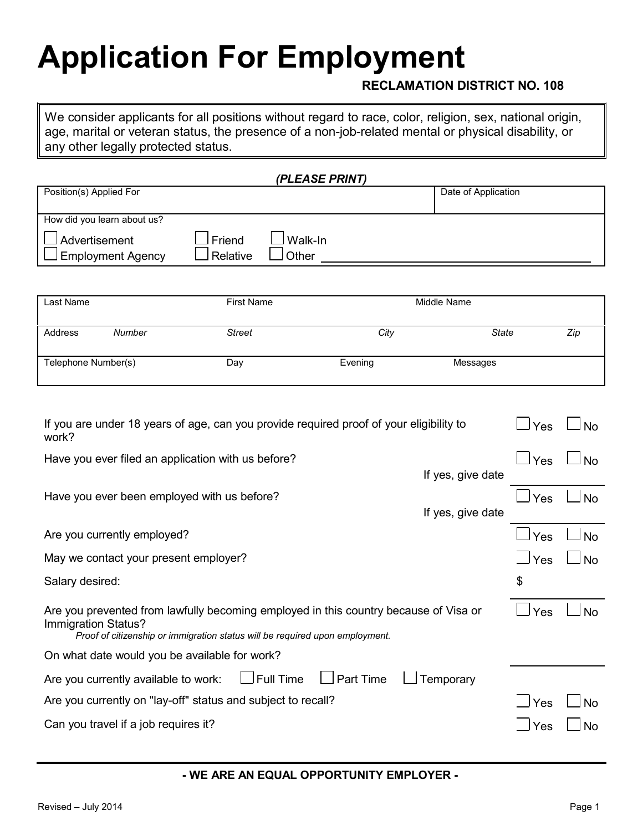## **Application For Employment**

#### **RECLAMATION DISTRICT NO. 108**

We consider applicants for all positions without regard to race, color, religion, sex, national origin, age, marital or veteran status, the presence of a non-job-related mental or physical disability, or any other legally protected status.

|                                           |                      | (PLEASE PRINT)   |                     |
|-------------------------------------------|----------------------|------------------|---------------------|
| Position(s) Applied For                   |                      |                  | Date of Application |
| How did you learn about us?               |                      |                  |                     |
| Advertisement<br><b>Employment Agency</b> | l Friend<br>Relative | Walk-In<br>Other |                     |

| Last Name           |        | <b>First Name</b> | Middle Name |          |     |
|---------------------|--------|-------------------|-------------|----------|-----|
| Address             | Number | <b>Street</b>     | City        | State    | Zip |
| Telephone Number(s) |        | Day               | Evening     | Messages |     |

| If you are under 18 years of age, can you provide required proof of your eligibility to<br>work?                                                                                            | Yes               | <b>No</b>  |           |
|---------------------------------------------------------------------------------------------------------------------------------------------------------------------------------------------|-------------------|------------|-----------|
| Have you ever filed an application with us before?                                                                                                                                          | If yes, give date | $\Box$ Yes | <b>No</b> |
| Have you ever been employed with us before?                                                                                                                                                 | If yes, give date | Yes        | <b>No</b> |
| Are you currently employed?                                                                                                                                                                 |                   | Yes        | <b>No</b> |
| May we contact your present employer?                                                                                                                                                       |                   | l Yes      | <b>No</b> |
| Salary desired:                                                                                                                                                                             |                   | \$         |           |
| Are you prevented from lawfully becoming employed in this country because of Visa or<br>Immigration Status?<br>Proof of citizenship or immigration status will be required upon employment. |                   | Yes        | <b>No</b> |
| On what date would you be available for work?                                                                                                                                               |                   |            |           |
| $\Box$ Full Time<br>$\bigsqcup$ Part Time<br>Are you currently available to work:                                                                                                           | Temporary         |            |           |
| Are you currently on "lay-off" status and subject to recall?                                                                                                                                |                   | Yes        | No        |
| Can you travel if a job requires it?                                                                                                                                                        |                   | Yes        |           |

#### **- WE ARE AN EQUAL OPPORTUNITY EMPLOYER -**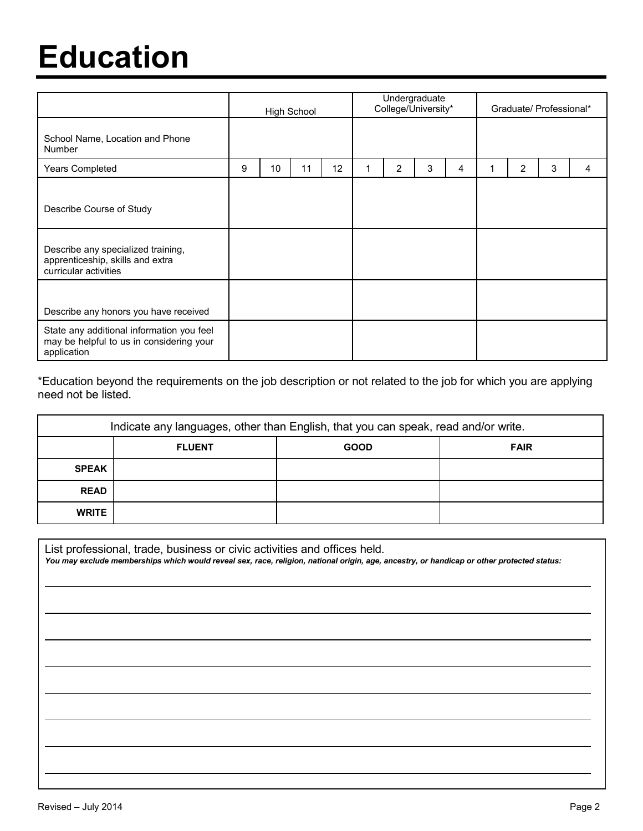### **Education**

|                                                                                                      | High School |    |    | Undergraduate<br>College/University* |  |   |   | Graduate/ Professional* |   |                |   |   |
|------------------------------------------------------------------------------------------------------|-------------|----|----|--------------------------------------|--|---|---|-------------------------|---|----------------|---|---|
| School Name, Location and Phone<br><b>Number</b>                                                     |             |    |    |                                      |  |   |   |                         |   |                |   |   |
| <b>Years Completed</b>                                                                               | 9           | 10 | 11 | 12                                   |  | 2 | 3 | 4                       | 1 | $\overline{2}$ | 3 | 4 |
| Describe Course of Study                                                                             |             |    |    |                                      |  |   |   |                         |   |                |   |   |
| Describe any specialized training,<br>apprenticeship, skills and extra<br>curricular activities      |             |    |    |                                      |  |   |   |                         |   |                |   |   |
| Describe any honors you have received                                                                |             |    |    |                                      |  |   |   |                         |   |                |   |   |
| State any additional information you feel<br>may be helpful to us in considering your<br>application |             |    |    |                                      |  |   |   |                         |   |                |   |   |

\*Education beyond the requirements on the job description or not related to the job for which you are applying need not be listed.

| Indicate any languages, other than English, that you can speak, read and/or write. |                                             |  |  |  |  |  |  |
|------------------------------------------------------------------------------------|---------------------------------------------|--|--|--|--|--|--|
|                                                                                    | <b>GOOD</b><br><b>FLUENT</b><br><b>FAIR</b> |  |  |  |  |  |  |
| <b>SPEAK</b>                                                                       |                                             |  |  |  |  |  |  |
| <b>READ</b>                                                                        |                                             |  |  |  |  |  |  |
| <b>WRITE</b>                                                                       |                                             |  |  |  |  |  |  |

| List professional, trade, business or civic activities and offices held.<br>You may exclude memberships which would reveal sex, race, religion, national origin, age, ancestry, or handicap or other protected status: |
|------------------------------------------------------------------------------------------------------------------------------------------------------------------------------------------------------------------------|
|                                                                                                                                                                                                                        |
|                                                                                                                                                                                                                        |
|                                                                                                                                                                                                                        |
|                                                                                                                                                                                                                        |
|                                                                                                                                                                                                                        |
|                                                                                                                                                                                                                        |
|                                                                                                                                                                                                                        |
|                                                                                                                                                                                                                        |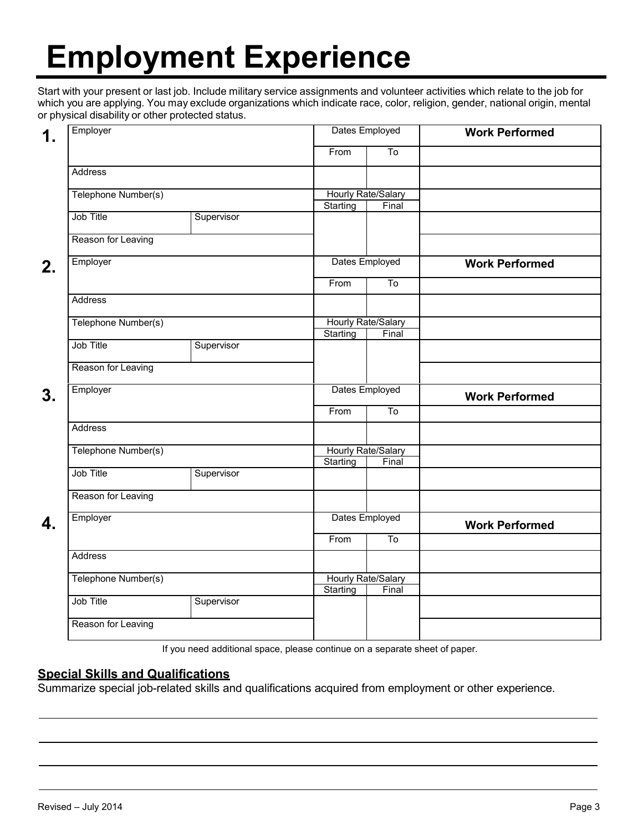# **Employment Experience**

Start with your present or last job. Include military service assignments and volunteer activities which relate to the job for which you are applying. You may exclude organizations which indicate race, color, religion, gender, national origin, mental or physical disability or other protected status.

| 1. | Employer                              |            | Dates Employed            |                        | <b>Work Performed</b> |  |
|----|---------------------------------------|------------|---------------------------|------------------------|-----------------------|--|
|    |                                       |            | From                      | $\overline{\text{To}}$ |                       |  |
|    | Address                               |            |                           |                        |                       |  |
|    | Telephone Number(s)                   |            | <b>Hourly Rate/Salary</b> |                        |                       |  |
|    |                                       |            | Starting                  | Final                  |                       |  |
|    | Job Title                             | Supervisor |                           |                        |                       |  |
|    | Reason for Leaving                    |            |                           |                        |                       |  |
| 2. | Employer                              |            | Dates Employed            |                        | <b>Work Performed</b> |  |
|    |                                       |            | From                      | To                     |                       |  |
|    | Address                               |            |                           |                        |                       |  |
|    | Telephone Number(s)                   |            | Hourly Rate/Salary        |                        |                       |  |
|    |                                       |            | Starting                  | Final                  |                       |  |
|    | Job Title                             | Supervisor |                           |                        |                       |  |
|    | Reason for Leaving                    |            |                           |                        |                       |  |
| 3. | Employer                              |            |                           | Dates Employed         | <b>Work Performed</b> |  |
|    |                                       |            | From                      | To                     |                       |  |
|    | Address                               |            |                           |                        |                       |  |
|    | Telephone Number(s)                   |            | <b>Hourly Rate/Salary</b> |                        |                       |  |
|    |                                       |            | Starting                  | Final                  |                       |  |
|    | Job Title                             | Supervisor |                           |                        |                       |  |
|    | Reason for Leaving                    |            |                           |                        |                       |  |
| 4. | Employer                              |            | Dates Employed            |                        | <b>Work Performed</b> |  |
|    |                                       |            |                           | $\overline{\text{To}}$ |                       |  |
|    | <b>Address</b><br>Telephone Number(s) |            |                           |                        |                       |  |
|    |                                       |            | Hourly Rate/Salary        |                        |                       |  |
|    | Job Title                             | Supervisor | Starting                  | Final                  |                       |  |
|    |                                       |            |                           |                        |                       |  |
|    | Reason for Leaving                    |            |                           |                        |                       |  |

If you need additional space, please continue on a separate sheet of paper.

#### **Special Skills and Qualifications**

Summarize special job-related skills and qualifications acquired from employment or other experience.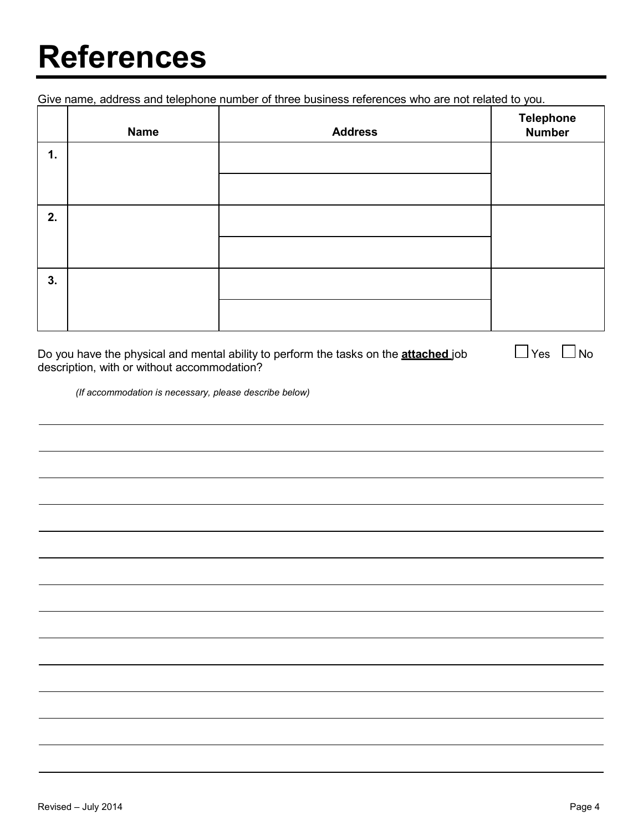### **References**

Give name, address and telephone number of three business references who are not related to you.

|    | <b>Name</b> | <b>Address</b> | Telephone<br>Number |
|----|-------------|----------------|---------------------|
| 1. |             |                |                     |
|    |             |                |                     |
| 2. |             |                |                     |
|    |             |                |                     |
| 3. |             |                |                     |
|    |             |                |                     |

Do you have the physical and mental ability to perform the tasks on the **attached** job  $\Box$  Yes  $\Box$  No description, with or without accommodation?

*(If accommodation is necessary, please describe below)*